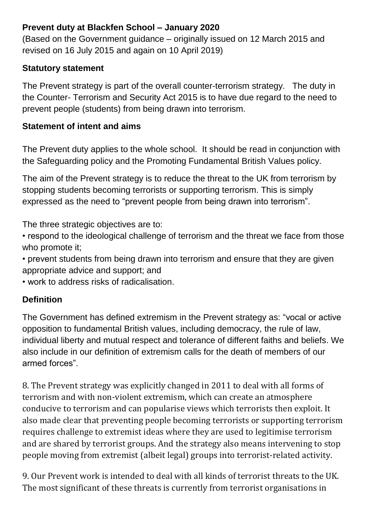### **Prevent duty at Blackfen School – January 2020**

(Based on the Government guidance – originally issued on 12 March 2015 and revised on 16 July 2015 and again on 10 April 2019)

#### **Statutory statement**

The Prevent strategy is part of the overall counter-terrorism strategy. The duty in the Counter- Terrorism and Security Act 2015 is to have due regard to the need to prevent people (students) from being drawn into terrorism.

#### **Statement of intent and aims**

The Prevent duty applies to the whole school. It should be read in conjunction with the Safeguarding policy and the Promoting Fundamental British Values policy.

The aim of the Prevent strategy is to reduce the threat to the UK from terrorism by stopping students becoming terrorists or supporting terrorism. This is simply expressed as the need to "prevent people from being drawn into terrorism".

The three strategic objectives are to:

• respond to the ideological challenge of terrorism and the threat we face from those who promote it;

• prevent students from being drawn into terrorism and ensure that they are given appropriate advice and support; and

• work to address risks of radicalisation.

# **Definition**

The Government has defined extremism in the Prevent strategy as: "vocal or active opposition to fundamental British values, including democracy, the rule of law, individual liberty and mutual respect and tolerance of different faiths and beliefs. We also include in our definition of extremism calls for the death of members of our armed forces".

8. The Prevent strategy was explicitly changed in 2011 to deal with all forms of terrorism and with non-violent extremism, which can create an atmosphere conducive to terrorism and can popularise views which terrorists then exploit. It also made clear that preventing people becoming terrorists or supporting terrorism requires challenge to extremist ideas where they are used to legitimise terrorism and are shared by terrorist groups. And the strategy also means intervening to stop people moving from extremist (albeit legal) groups into terrorist-related activity.

9. Our Prevent work is intended to deal with all kinds of terrorist threats to the UK. The most significant of these threats is currently from terrorist organisations in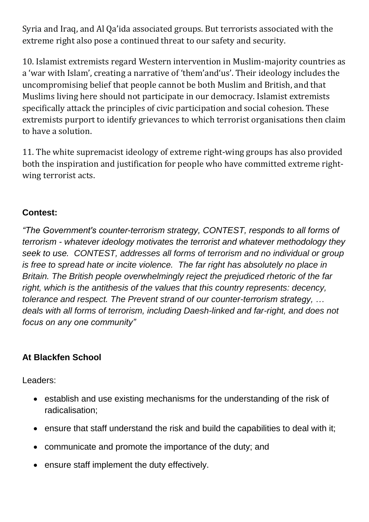Syria and Iraq, and Al Qa'ida associated groups. But terrorists associated with the extreme right also pose a continued threat to our safety and security.

10. Islamist extremists regard Western intervention in Muslim-majority countries as a 'war with Islam', creating a narrative of 'them'and'us'. Their ideology includes the uncompromising belief that people cannot be both Muslim and British, and that Muslims living here should not participate in our democracy. Islamist extremists specifically attack the principles of civic participation and social cohesion. These extremists purport to identify grievances to which terrorist organisations then claim to have a solution.

11. The white supremacist ideology of extreme right-wing groups has also provided both the inspiration and justification for people who have committed extreme rightwing terrorist acts.

### **Contest:**

*"The Government's counter-terrorism strategy, CONTEST, responds to all forms of terrorism - whatever ideology motivates the terrorist and whatever methodology they seek to use. CONTEST, addresses all forms of terrorism and no individual or group is free to spread hate or incite violence. The far right has absolutely no place in Britain. The British people overwhelmingly reject the prejudiced rhetoric of the far right, which is the antithesis of the values that this country represents: decency, tolerance and respect. The Prevent strand of our counter-terrorism strategy, … deals with all forms of terrorism, including Daesh-linked and far-right, and does not focus on any one community"*

# **At Blackfen School**

Leaders:

- establish and use existing mechanisms for the understanding of the risk of radicalisation;
- ensure that staff understand the risk and build the capabilities to deal with it;
- communicate and promote the importance of the duty; and
- ensure staff implement the duty effectively.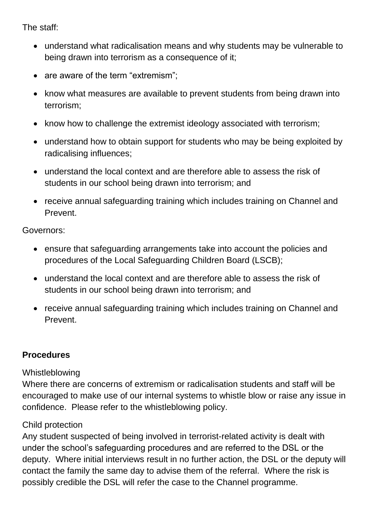The staff:

- understand what radicalisation means and why students may be vulnerable to being drawn into terrorism as a consequence of it;
- are aware of the term "extremism";
- know what measures are available to prevent students from being drawn into terrorism;
- know how to challenge the extremist ideology associated with terrorism;
- understand how to obtain support for students who may be being exploited by radicalising influences;
- understand the local context and are therefore able to assess the risk of students in our school being drawn into terrorism; and
- receive annual safeguarding training which includes training on Channel and Prevent.

Governors:

- ensure that safeguarding arrangements take into account the policies and procedures of the Local Safeguarding Children Board (LSCB);
- understand the local context and are therefore able to assess the risk of students in our school being drawn into terrorism; and
- receive annual safeguarding training which includes training on Channel and Prevent.

# **Procedures**

#### Whistleblowing

Where there are concerns of extremism or radicalisation students and staff will be encouraged to make use of our internal systems to whistle blow or raise any issue in confidence. Please refer to the whistleblowing policy.

#### Child protection

Any student suspected of being involved in terrorist-related activity is dealt with under the school's safeguarding procedures and are referred to the DSL or the deputy. Where initial interviews result in no further action, the DSL or the deputy will contact the family the same day to advise them of the referral. Where the risk is possibly credible the DSL will refer the case to the Channel programme.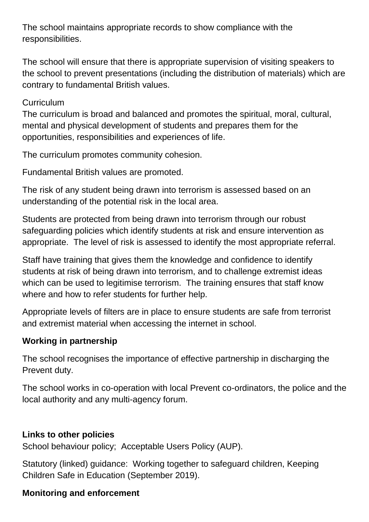The school maintains appropriate records to show compliance with the responsibilities.

The school will ensure that there is appropriate supervision of visiting speakers to the school to prevent presentations (including the distribution of materials) which are contrary to fundamental British values.

### **Curriculum**

The curriculum is broad and balanced and promotes the spiritual, moral, cultural, mental and physical development of students and prepares them for the opportunities, responsibilities and experiences of life.

The curriculum promotes community cohesion.

Fundamental British values are promoted.

The risk of any student being drawn into terrorism is assessed based on an understanding of the potential risk in the local area.

Students are protected from being drawn into terrorism through our robust safeguarding policies which identify students at risk and ensure intervention as appropriate. The level of risk is assessed to identify the most appropriate referral.

Staff have training that gives them the knowledge and confidence to identify students at risk of being drawn into terrorism, and to challenge extremist ideas which can be used to legitimise terrorism. The training ensures that staff know where and how to refer students for further help.

Appropriate levels of filters are in place to ensure students are safe from terrorist and extremist material when accessing the internet in school.

# **Working in partnership**

The school recognises the importance of effective partnership in discharging the Prevent duty.

The school works in co-operation with local Prevent co-ordinators, the police and the local authority and any multi-agency forum.

#### **Links to other policies**

School behaviour policy; Acceptable Users Policy (AUP).

Statutory (linked) guidance: Working together to safeguard children, Keeping Children Safe in Education (September 2019).

# **Monitoring and enforcement**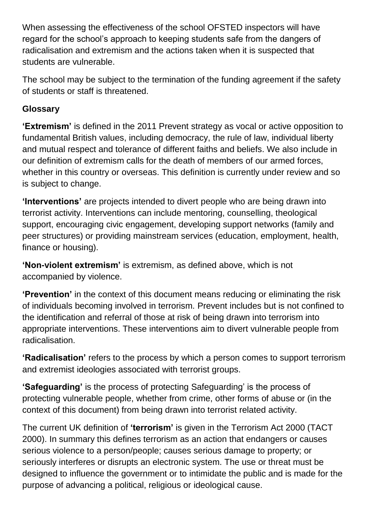When assessing the effectiveness of the school OFSTED inspectors will have regard for the school's approach to keeping students safe from the dangers of radicalisation and extremism and the actions taken when it is suspected that students are vulnerable.

The school may be subject to the termination of the funding agreement if the safety of students or staff is threatened.

### **Glossary**

**'Extremism'** is defined in the 2011 Prevent strategy as vocal or active opposition to fundamental British values, including democracy, the rule of law, individual liberty and mutual respect and tolerance of different faiths and beliefs. We also include in our definition of extremism calls for the death of members of our armed forces, whether in this country or overseas. This definition is currently under review and so is subject to change.

**'Interventions'** are projects intended to divert people who are being drawn into terrorist activity. Interventions can include mentoring, counselling, theological support, encouraging civic engagement, developing support networks (family and peer structures) or providing mainstream services (education, employment, health, finance or housing).

**'Non-violent extremism'** is extremism, as defined above, which is not accompanied by violence.

**'Prevention'** in the context of this document means reducing or eliminating the risk of individuals becoming involved in terrorism. Prevent includes but is not confined to the identification and referral of those at risk of being drawn into terrorism into appropriate interventions. These interventions aim to divert vulnerable people from radicalisation.

**'Radicalisation'** refers to the process by which a person comes to support terrorism and extremist ideologies associated with terrorist groups.

**'Safeguarding'** is the process of protecting Safeguarding' is the process of protecting vulnerable people, whether from crime, other forms of abuse or (in the context of this document) from being drawn into terrorist related activity.

The current UK definition of **'terrorism'** is given in the Terrorism Act 2000 (TACT 2000). In summary this defines terrorism as an action that endangers or causes serious violence to a person/people; causes serious damage to property; or seriously interferes or disrupts an electronic system. The use or threat must be designed to influence the government or to intimidate the public and is made for the purpose of advancing a political, religious or ideological cause.